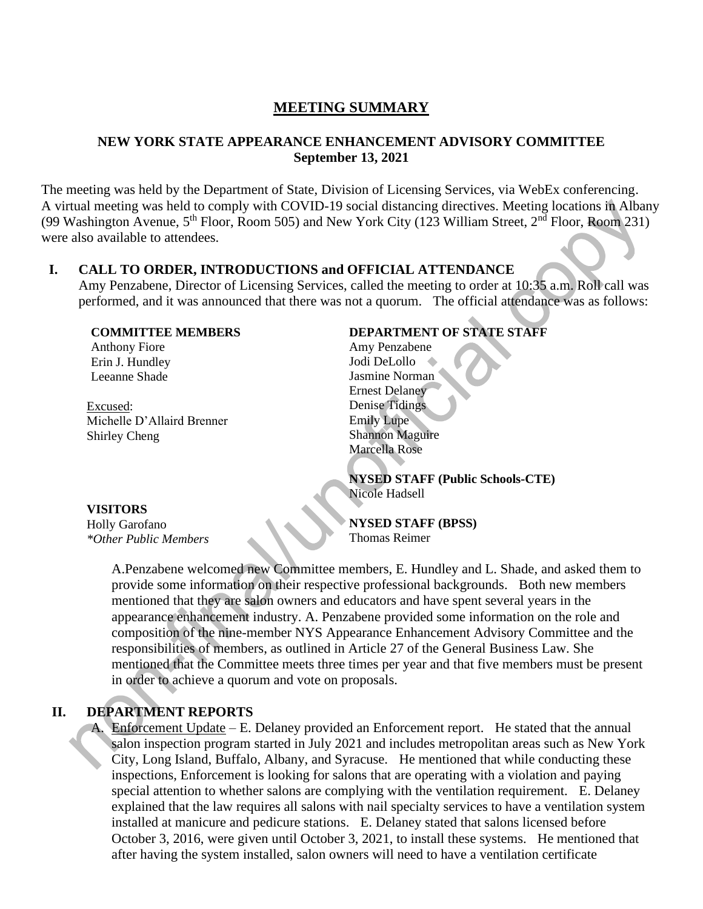# **MEETING SUMMARY**

### **NEW YORK STATE APPEARANCE ENHANCEMENT ADVISORY COMMITTEE September 13, 2021**

The meeting was held by the Department of State, Division of Licensing Services, via WebEx conferencing. A virtual meeting was held to comply with COVID-19 social distancing directives. Meeting locations in Albany (99 Washington Avenue, 5th Floor, Room 505) and New York City (123 William Street, 2nd Floor, Room 231) were also available to attendees.

## **I. CALL TO ORDER, INTRODUCTIONS and OFFICIAL ATTENDANCE**

Amy Penzabene, Director of Licensing Services, called the meeting to order at 10:35 a.m. Roll call was performed, and it was announced that there was not a quorum. The official attendance was as follows:

#### **COMMITTEE MEMBERS**

 Anthony Fiore Erin J. Hundley Leeanne Shade

Excused: Michelle D'Allaird Brenner Shirley Cheng

### **DEPARTMENT OF STATE STAFF**

Amy Penzabene Jodi DeLollo Jasmine Norman Ernest Delaney Denise Tidings Emily Lupe Shannon Maguire Marcella Rose

**NYSED STAFF (Public Schools-CTE)** Nicole Hadsell

#### **VISITORS**

í

Holly Garofano *\*Other Public Members* **NYSED STAFF (BPSS)** Thomas Reimer

A.Penzabene welcomed new Committee members, E. Hundley and L. Shade, and asked them to provide some information on their respective professional backgrounds. Both new members mentioned that they are salon owners and educators and have spent several years in the appearance enhancement industry. A. Penzabene provided some information on the role and composition of the nine-member NYS Appearance Enhancement Advisory Committee and the responsibilities of members, as outlined in Article 27 of the General Business Law. She mentioned that the Committee meets three times per year and that five members must be present in order to achieve a quorum and vote on proposals.

### **II. DEPARTMENT REPORTS**

A. Enforcement Update – E. Delaney provided an Enforcement report. He stated that the annual salon inspection program started in July 2021 and includes metropolitan areas such as New York City, Long Island, Buffalo, Albany, and Syracuse. He mentioned that while conducting these inspections, Enforcement is looking for salons that are operating with a violation and paying special attention to whether salons are complying with the ventilation requirement. E. Delaney explained that the law requires all salons with nail specialty services to have a ventilation system installed at manicure and pedicure stations. E. Delaney stated that salons licensed before October 3, 2016, were given until October 3, 2021, to install these systems. He mentioned that after having the system installed, salon owners will need to have a ventilation certificate